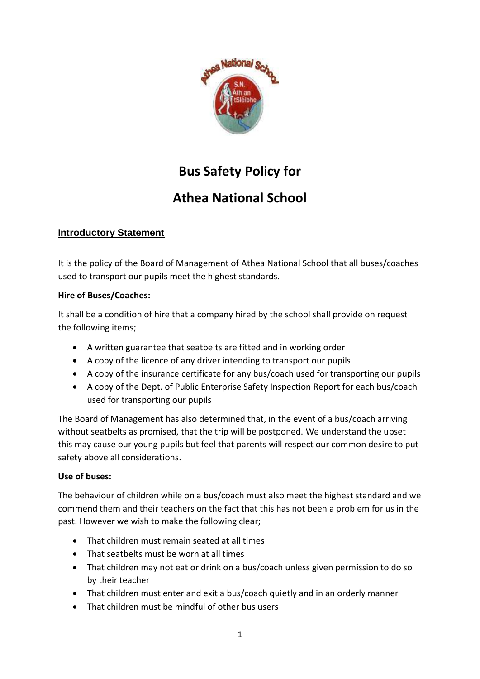

# **Bus Safety Policy for**

# **Athea National School**

## **Introductory Statement**

It is the policy of the Board of Management of Athea National School that all buses/coaches used to transport our pupils meet the highest standards.

### **Hire of Buses/Coaches:**

It shall be a condition of hire that a company hired by the school shall provide on request the following items;

- A written guarantee that seatbelts are fitted and in working order
- A copy of the licence of any driver intending to transport our pupils
- A copy of the insurance certificate for any bus/coach used for transporting our pupils
- A copy of the Dept. of Public Enterprise Safety Inspection Report for each bus/coach used for transporting our pupils

The Board of Management has also determined that, in the event of a bus/coach arriving without seatbelts as promised, that the trip will be postponed. We understand the upset this may cause our young pupils but feel that parents will respect our common desire to put safety above all considerations.

## **Use of buses:**

The behaviour of children while on a bus/coach must also meet the highest standard and we commend them and their teachers on the fact that this has not been a problem for us in the past. However we wish to make the following clear;

- That children must remain seated at all times
- That seatbelts must be worn at all times
- That children may not eat or drink on a bus/coach unless given permission to do so by their teacher
- That children must enter and exit a bus/coach quietly and in an orderly manner
- That children must be mindful of other bus users